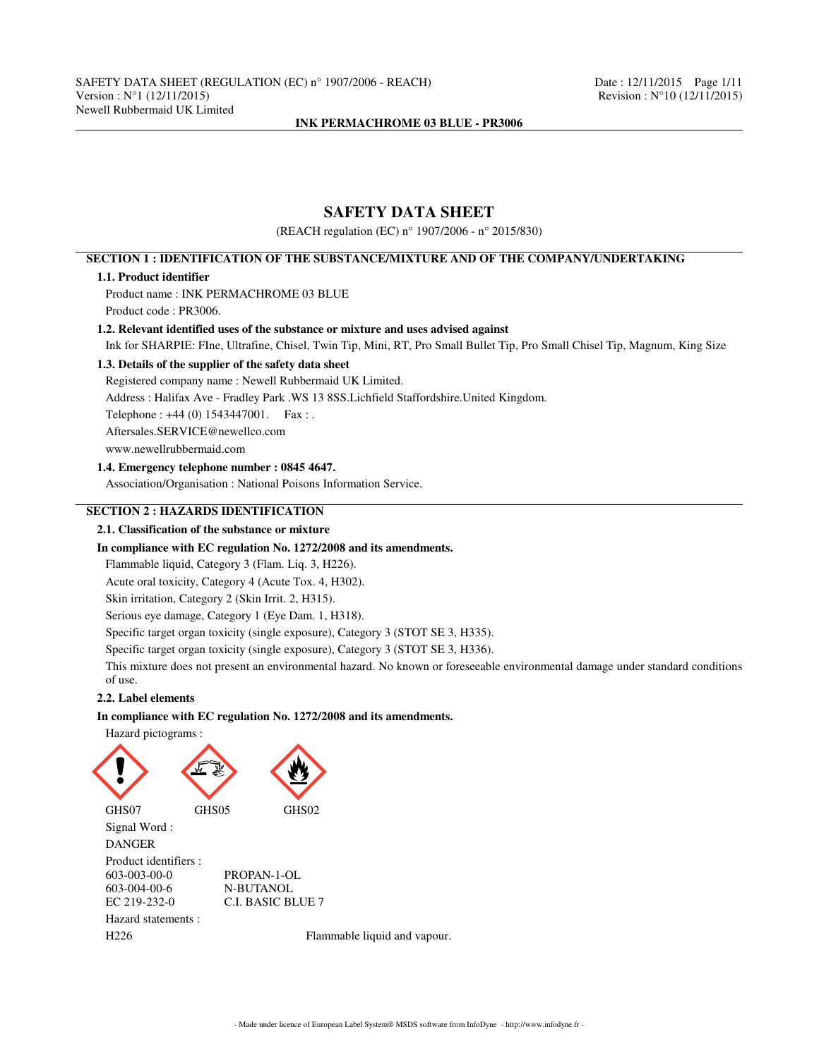# **SAFETY DATA SHEET**

(REACH regulation (EC) n° 1907/2006 - n° 2015/830)

# **SECTION 1 : IDENTIFICATION OF THE SUBSTANCE/MIXTURE AND OF THE COMPANY/UNDERTAKING**

### **1.1. Product identifier**

Product name : INK PERMACHROME 03 BLUE Product code : PR3006.

## **1.2. Relevant identified uses of the substance or mixture and uses advised against**

Ink for SHARPIE: FIne, Ultrafine, Chisel, Twin Tip, Mini, RT, Pro Small Bullet Tip, Pro Small Chisel Tip, Magnum, King Size

# **1.3. Details of the supplier of the safety data sheet**

Registered company name : Newell Rubbermaid UK Limited.

Address : Halifax Ave - Fradley Park .WS 13 8SS.Lichfield Staffordshire.United Kingdom.

Telephone : +44 (0) 1543447001. Fax : .

Aftersales.SERVICE@newellco.com

www.newellrubbermaid.com

## **1.4. Emergency telephone number : 0845 4647.**

Association/Organisation : National Poisons Information Service.

# **SECTION 2 : HAZARDS IDENTIFICATION**

# **2.1. Classification of the substance or mixture**

#### **In compliance with EC regulation No. 1272/2008 and its amendments.**

Flammable liquid, Category 3 (Flam. Liq. 3, H226).

Acute oral toxicity, Category 4 (Acute Tox. 4, H302).

Skin irritation, Category 2 (Skin Irrit. 2, H315).

Serious eye damage, Category 1 (Eye Dam. 1, H318).

Specific target organ toxicity (single exposure), Category 3 (STOT SE 3, H335).

Specific target organ toxicity (single exposure), Category 3 (STOT SE 3, H336).

This mixture does not present an environmental hazard. No known or foreseeable environmental damage under standard conditions of use.

# **2.2. Label elements**

# **In compliance with EC regulation No. 1272/2008 and its amendments.**

Hazard pictograms :



- Made under licence of European Label System® MSDS software from InfoDyne - http://www.infodyne.fr -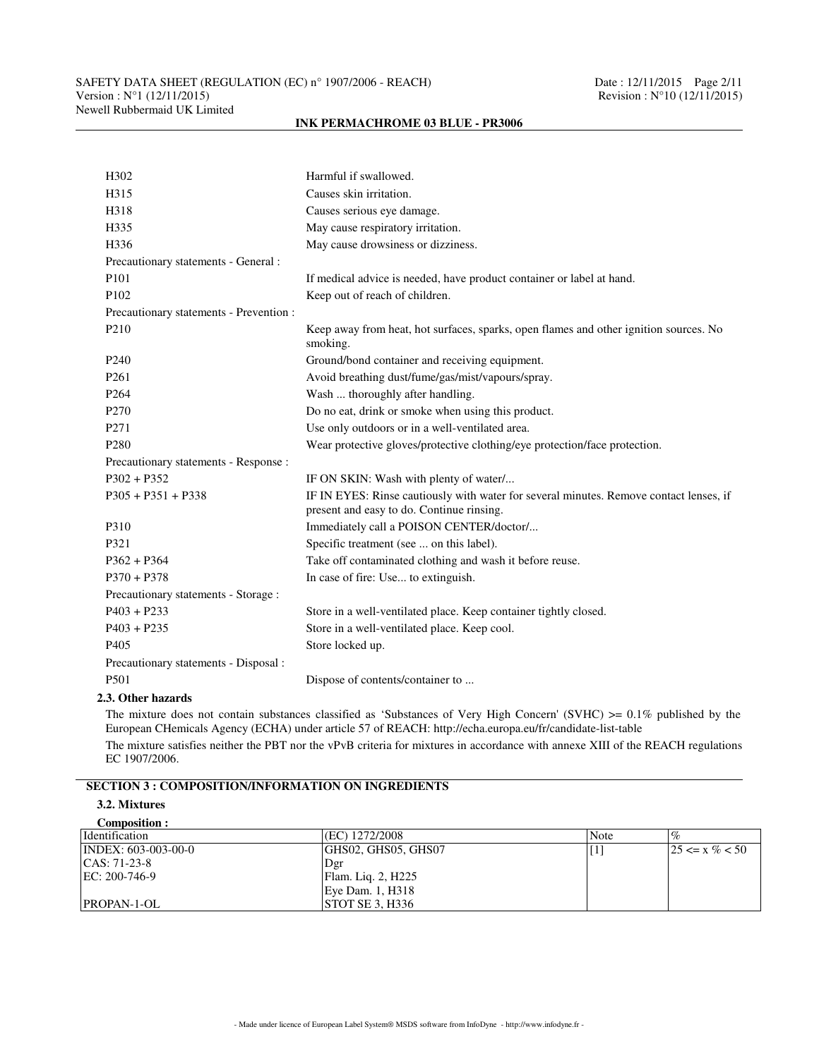# SAFETY DATA SHEET (REGULATION (EC) n° 1907/2006 - REACH) Date : 12/11/2015 Page 2/11<br>Version : N°1 (12/11/2015) Revision : N°10 (12/11/2015) Newell Rubbermaid UK Limited

# H302 Harmful if swallowed. H315 Causes skin irritation. H318 Causes serious eye damage. H335 May cause respiratory irritation. H336 May cause drowsiness or dizziness. Precautionary statements - General : P101 If medical advice is needed, have product container or label at hand. P102 Keep out of reach of children. Precautionary statements - Prevention : P210 Keep away from heat, hot surfaces, sparks, open flames and other ignition sources. No smoking. P240 Ground/bond container and receiving equipment. P261 **Avoid breathing dust/fume/gas/mist/vapours/spray.** P264 Wash ... thoroughly after handling. P270 Do no eat, drink or smoke when using this product. P271 Use only outdoors or in a well-ventilated area. P280 Wear protective gloves/protective clothing/eye protection/face protection. Precautionary statements - Response : P302 + P352 IF ON SKIN: Wash with plenty of water/... P305 + P351 + P338 IF IN EYES: Rinse cautiously with water for several minutes. Remove contact lenses, if present and easy to do. Continue rinsing. P310 Immediately call a POISON CENTER/doctor/... P321 Specific treatment (see ... on this label). P362 + P364 Take off contaminated clothing and wash it before reuse. P370 + P378 In case of fire: Use... to extinguish. Precautionary statements - Storage : P403 + P233 Store in a well-ventilated place. Keep container tightly closed. P403 + P235 Store in a well-ventilated place. Keep cool. P405 Store locked up. Precautionary statements - Disposal : P501 Dispose of contents/container to ...

# **INK PERMACHROME 03 BLUE - PR3006**

# **2.3. Other hazards**

The mixture does not contain substances classified as 'Substances of Very High Concern' (SVHC)  $\geq 0.1\%$  published by the European CHemicals Agency (ECHA) under article 57 of REACH: http://echa.europa.eu/fr/candidate-list-table The mixture satisfies neither the PBT nor the vPvB criteria for mixtures in accordance with annexe XIII of the REACH regulations EC 1907/2006.

# **SECTION 3 : COMPOSITION/INFORMATION ON INGREDIENTS**

#### **3.2. Mixtures Composition :**

| COMPOSITION.                  |                        |      |                     |
|-------------------------------|------------------------|------|---------------------|
| <i>dentification</i>          | (EC) 1272/2008         | Note | $\%$                |
| $\text{INDEX: } 603-003-00-0$ | GHS02, GHS05, GHS07    |      | $125 \le x \% < 50$ |
| $ CAS: 71-23-8$               | Dgr                    |      |                     |
| $EC: 200-746-9$               | Flam. Liq. 2, H225     |      |                     |
|                               | Eye Dam. 1, H318       |      |                     |
| $ PROPAN-1-OL $               | <b>STOT SE 3. H336</b> |      |                     |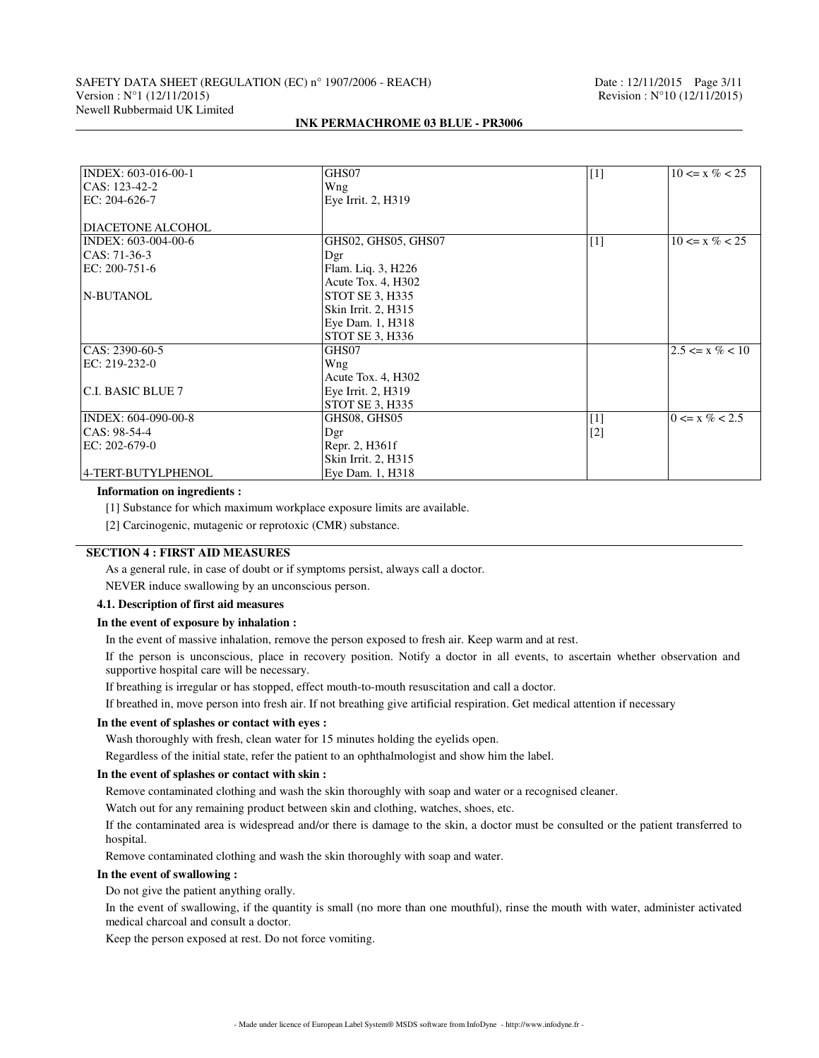# SAFETY DATA SHEET (REGULATION (EC) n° 1907/2006 - REACH) Date : 12/11/2015 Page 3/11<br>Version : N°1 (12/11/2015) Revision : N°10 (12/11/2015) Newell Rubbermaid UK Limited

| INDEX: 603-016-00-1 | GHS07                  | $[1]$             | $10 \le x \% < 25$  |
|---------------------|------------------------|-------------------|---------------------|
| CAS: 123-42-2       | Wng                    |                   |                     |
| EC: 204-626-7       | Eye Irrit. 2, H319     |                   |                     |
|                     |                        |                   |                     |
| DIACETONE ALCOHOL   |                        |                   |                     |
| INDEX: 603-004-00-6 | GHS02, GHS05, GHS07    | $\lceil 1 \rceil$ | $10 \le x \% < 25$  |
| $CAS: 71-36-3$      | Dgr                    |                   |                     |
| EC: 200-751-6       | Flam. Liq. 3, H226     |                   |                     |
|                     | Acute Tox. 4, H302     |                   |                     |
| N-BUTANOL           | STOT SE 3, H335        |                   |                     |
|                     | Skin Irrit. 2, H315    |                   |                     |
|                     | Eye Dam. 1, H318       |                   |                     |
|                     | STOT SE 3, H336        |                   |                     |
| CAS: 2390-60-5      | GHS07                  |                   | $2.5 \le x \% < 10$ |
| EC: 219-232-0       | Wng                    |                   |                     |
|                     | Acute Tox. 4, H302     |                   |                     |
| C.I. BASIC BLUE 7   | Eye Irrit. 2, H319     |                   |                     |
|                     | <b>STOT SE 3, H335</b> |                   |                     |
| INDEX: 604-090-00-8 | GHS08, GHS05           | $[1]$             | $0 \le x \% < 2.5$  |
| CAS: 98-54-4        | Dgr                    | $[2]$             |                     |
| EC: 202-679-0       | Repr. 2, H361f         |                   |                     |
|                     | Skin Irrit. 2, H315    |                   |                     |
| 4-TERT-BUTYLPHENOL  | Eye Dam. 1, H318       |                   |                     |

#### **INK PERMACHROME 03 BLUE - PR3006**

#### **Information on ingredients :**

[1] Substance for which maximum workplace exposure limits are available.

[2] Carcinogenic, mutagenic or reprotoxic (CMR) substance.

# **SECTION 4 : FIRST AID MEASURES**

As a general rule, in case of doubt or if symptoms persist, always call a doctor.

NEVER induce swallowing by an unconscious person.

# **4.1. Description of first aid measures**

## **In the event of exposure by inhalation :**

In the event of massive inhalation, remove the person exposed to fresh air. Keep warm and at rest.

If the person is unconscious, place in recovery position. Notify a doctor in all events, to ascertain whether observation and supportive hospital care will be necessary.

If breathing is irregular or has stopped, effect mouth-to-mouth resuscitation and call a doctor.

If breathed in, move person into fresh air. If not breathing give artificial respiration. Get medical attention if necessary

#### **In the event of splashes or contact with eyes :**

Wash thoroughly with fresh, clean water for 15 minutes holding the eyelids open.

Regardless of the initial state, refer the patient to an ophthalmologist and show him the label.

#### **In the event of splashes or contact with skin :**

Remove contaminated clothing and wash the skin thoroughly with soap and water or a recognised cleaner.

Watch out for any remaining product between skin and clothing, watches, shoes, etc.

If the contaminated area is widespread and/or there is damage to the skin, a doctor must be consulted or the patient transferred to hospital.

Remove contaminated clothing and wash the skin thoroughly with soap and water.

#### **In the event of swallowing :**

Do not give the patient anything orally.

In the event of swallowing, if the quantity is small (no more than one mouthful), rinse the mouth with water, administer activated medical charcoal and consult a doctor.

Keep the person exposed at rest. Do not force vomiting.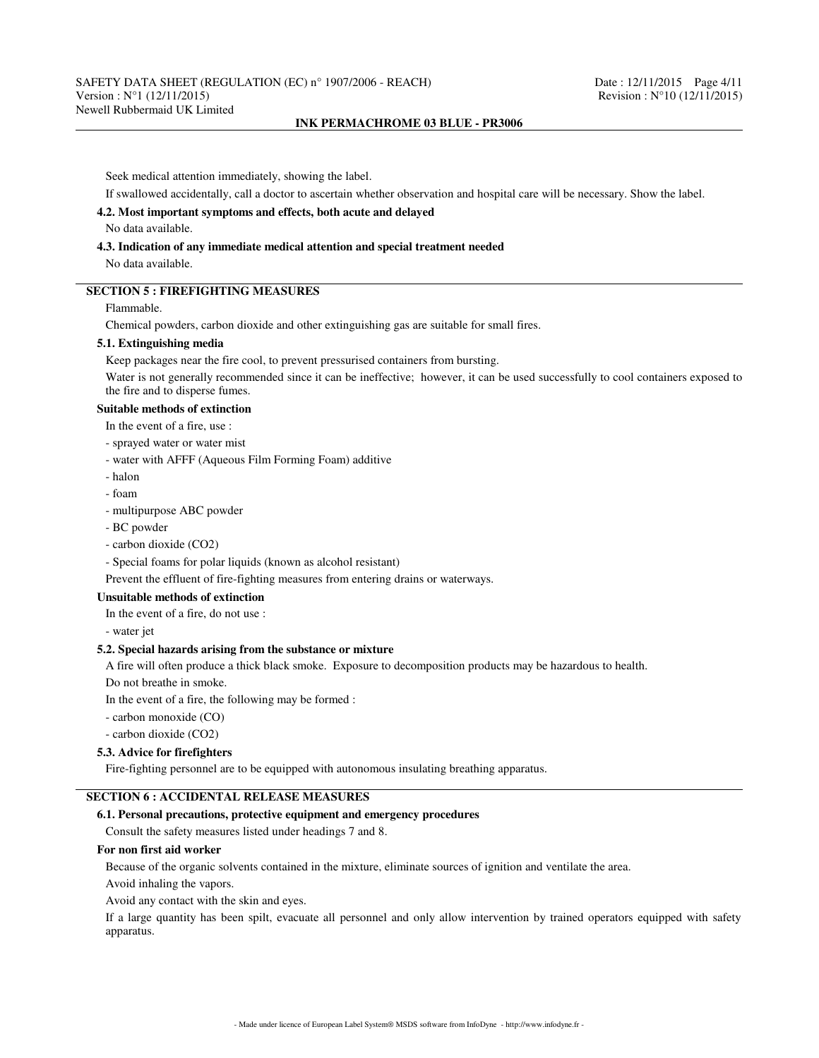Seek medical attention immediately, showing the label.

If swallowed accidentally, call a doctor to ascertain whether observation and hospital care will be necessary. Show the label.

# **4.2. Most important symptoms and effects, both acute and delayed**

No data available.

# **4.3. Indication of any immediate medical attention and special treatment needed**

No data available.

# **SECTION 5 : FIREFIGHTING MEASURES**

# Flammable.

Chemical powders, carbon dioxide and other extinguishing gas are suitable for small fires.

# **5.1. Extinguishing media**

Keep packages near the fire cool, to prevent pressurised containers from bursting.

Water is not generally recommended since it can be ineffective; however, it can be used successfully to cool containers exposed to the fire and to disperse fumes.

#### **Suitable methods of extinction**

In the event of a fire, use :

- sprayed water or water mist
- water with AFFF (Aqueous Film Forming Foam) additive
- halon
- foam
- multipurpose ABC powder
- BC powder
- carbon dioxide (CO2)
- Special foams for polar liquids (known as alcohol resistant)

Prevent the effluent of fire-fighting measures from entering drains or waterways.

# **Unsuitable methods of extinction**

In the event of a fire, do not use :

- water jet

# **5.2. Special hazards arising from the substance or mixture**

A fire will often produce a thick black smoke. Exposure to decomposition products may be hazardous to health.

Do not breathe in smoke.

In the event of a fire, the following may be formed :

- carbon monoxide (CO)
- carbon dioxide (CO2)

## **5.3. Advice for firefighters**

Fire-fighting personnel are to be equipped with autonomous insulating breathing apparatus.

# **SECTION 6 : ACCIDENTAL RELEASE MEASURES**

# **6.1. Personal precautions, protective equipment and emergency procedures**

Consult the safety measures listed under headings 7 and 8.

## **For non first aid worker**

Because of the organic solvents contained in the mixture, eliminate sources of ignition and ventilate the area.

Avoid inhaling the vapors.

Avoid any contact with the skin and eyes.

If a large quantity has been spilt, evacuate all personnel and only allow intervention by trained operators equipped with safety apparatus.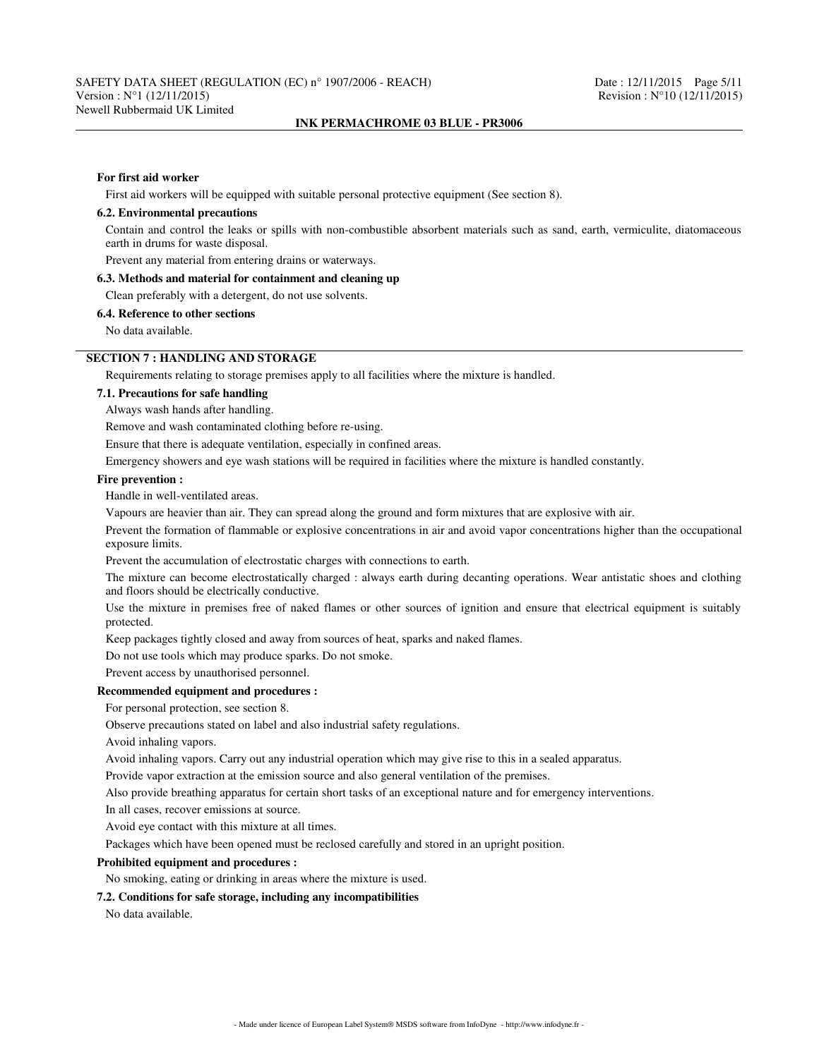#### **For first aid worker**

First aid workers will be equipped with suitable personal protective equipment (See section 8).

#### **6.2. Environmental precautions**

Contain and control the leaks or spills with non-combustible absorbent materials such as sand, earth, vermiculite, diatomaceous earth in drums for waste disposal.

Prevent any material from entering drains or waterways.

## **6.3. Methods and material for containment and cleaning up**

Clean preferably with a detergent, do not use solvents.

#### **6.4. Reference to other sections**

No data available.

# **SECTION 7 : HANDLING AND STORAGE**

Requirements relating to storage premises apply to all facilities where the mixture is handled.

# **7.1. Precautions for safe handling**

Always wash hands after handling.

Remove and wash contaminated clothing before re-using.

Ensure that there is adequate ventilation, especially in confined areas.

Emergency showers and eye wash stations will be required in facilities where the mixture is handled constantly.

#### **Fire prevention :**

Handle in well-ventilated areas.

Vapours are heavier than air. They can spread along the ground and form mixtures that are explosive with air.

Prevent the formation of flammable or explosive concentrations in air and avoid vapor concentrations higher than the occupational exposure limits.

Prevent the accumulation of electrostatic charges with connections to earth.

The mixture can become electrostatically charged : always earth during decanting operations. Wear antistatic shoes and clothing and floors should be electrically conductive.

Use the mixture in premises free of naked flames or other sources of ignition and ensure that electrical equipment is suitably protected.

Keep packages tightly closed and away from sources of heat, sparks and naked flames.

Do not use tools which may produce sparks. Do not smoke.

Prevent access by unauthorised personnel.

# **Recommended equipment and procedures :**

For personal protection, see section 8.

Observe precautions stated on label and also industrial safety regulations.

Avoid inhaling vapors.

Avoid inhaling vapors. Carry out any industrial operation which may give rise to this in a sealed apparatus.

Provide vapor extraction at the emission source and also general ventilation of the premises.

Also provide breathing apparatus for certain short tasks of an exceptional nature and for emergency interventions.

In all cases, recover emissions at source.

Avoid eye contact with this mixture at all times.

Packages which have been opened must be reclosed carefully and stored in an upright position.

#### **Prohibited equipment and procedures :**

No smoking, eating or drinking in areas where the mixture is used.

#### **7.2. Conditions for safe storage, including any incompatibilities**

No data available.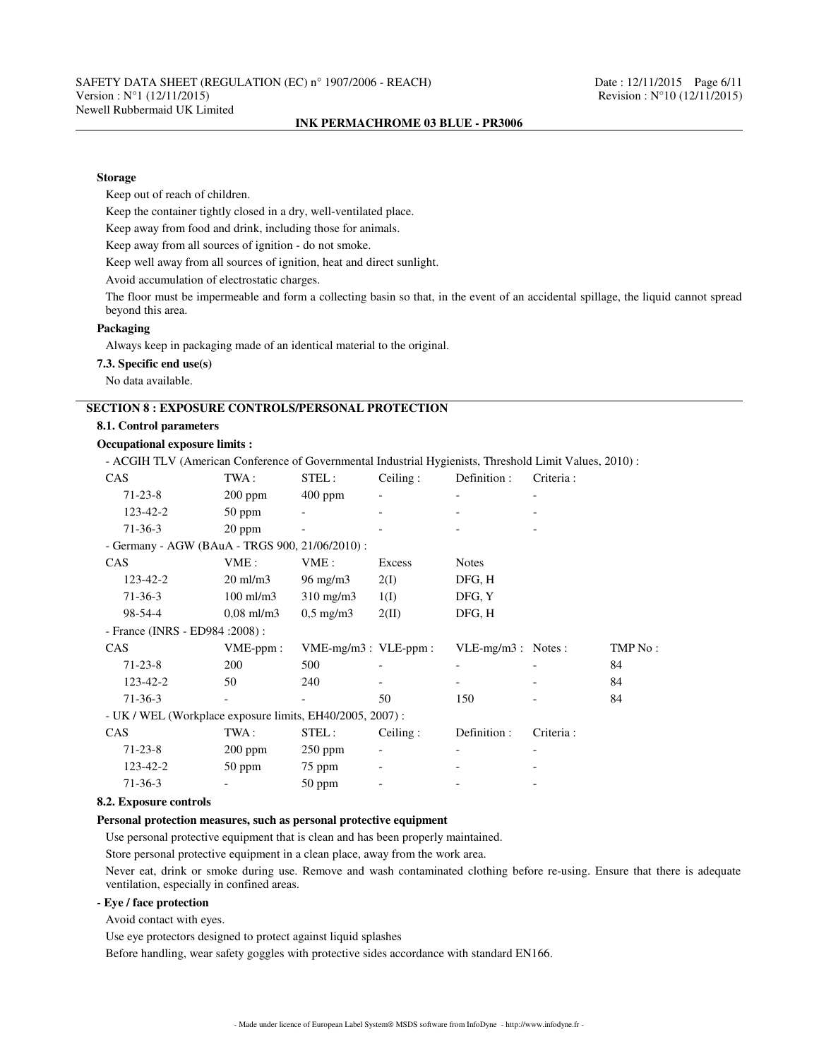#### **Storage**

Keep out of reach of children.

Keep the container tightly closed in a dry, well-ventilated place.

Keep away from food and drink, including those for animals.

Keep away from all sources of ignition - do not smoke.

Keep well away from all sources of ignition, heat and direct sunlight.

Avoid accumulation of electrostatic charges.

The floor must be impermeable and form a collecting basin so that, in the event of an accidental spillage, the liquid cannot spread beyond this area.

# **Packaging**

Always keep in packaging made of an identical material to the original.

# **7.3. Specific end use(s)**

No data available.

# **SECTION 8 : EXPOSURE CONTROLS/PERSONAL PROTECTION**

## **8.1. Control parameters**

#### **Occupational exposure limits :**

- ACGIH TLV (American Conference of Governmental Industrial Hygienists, Threshold Limit Values, 2010) :

| <b>CAS</b>                                               | TWA :               | STEL:                     | Ceiling: | Definition :         | Criteria : |         |
|----------------------------------------------------------|---------------------|---------------------------|----------|----------------------|------------|---------|
| $71 - 23 - 8$                                            | $200$ ppm           | $400$ ppm                 |          |                      |            |         |
| 123-42-2                                                 | $50$ ppm            |                           |          |                      |            |         |
| $71 - 36 - 3$                                            | 20 ppm              |                           |          |                      |            |         |
| - Germany - AGW (BAuA - TRGS 900, 21/06/2010) :          |                     |                           |          |                      |            |         |
| <b>CAS</b>                                               | VME:                | VME:                      | Excess   | <b>Notes</b>         |            |         |
| 123-42-2                                                 | $20 \text{ ml/m}$ 3 | $96 \text{ mg/m}$         | 2(I)     | DFG, H               |            |         |
| $71-36-3$                                                | $100$ ml/m $3$      | $310 \text{ mg/m}$        | 1(I)     | DFG, Y               |            |         |
| $98 - 54 - 4$                                            | $0.08$ ml/m3        | $0.5 \text{ mg/m}$        | 2(II)    | DFG, H               |            |         |
| - France (INRS - ED984 : 2008) :                         |                     |                           |          |                      |            |         |
| CAS                                                      | $VME-ppm$ :         | $VME-mg/m3$ : $VLE-ppm$ : |          | $VLE-mg/m3$ : Notes: |            | TMP No: |
| $71 - 23 - 8$                                            | 200                 | 500                       |          |                      |            | 84      |
| 123-42-2                                                 | 50                  | 240                       |          |                      |            | 84      |
| $71-36-3$                                                |                     |                           | 50       | 150                  |            | 84      |
| - UK / WEL (Workplace exposure limits, EH40/2005, 2007): |                     |                           |          |                      |            |         |
| CAS                                                      | TWA:                | STEL:                     | Ceiling: | Definition :         | Criteria:  |         |
| $71 - 23 - 8$                                            | $200$ ppm           | $250$ ppm                 |          |                      |            |         |
| 123-42-2                                                 | $50$ ppm            | 75 ppm                    |          |                      |            |         |
| $71-36-3$                                                |                     | $50$ ppm                  |          |                      |            |         |

#### **8.2. Exposure controls**

#### **Personal protection measures, such as personal protective equipment**

Use personal protective equipment that is clean and has been properly maintained.

Store personal protective equipment in a clean place, away from the work area.

Never eat, drink or smoke during use. Remove and wash contaminated clothing before re-using. Ensure that there is adequate ventilation, especially in confined areas.

# **- Eye / face protection**

Avoid contact with eyes.

Use eye protectors designed to protect against liquid splashes

Before handling, wear safety goggles with protective sides accordance with standard EN166.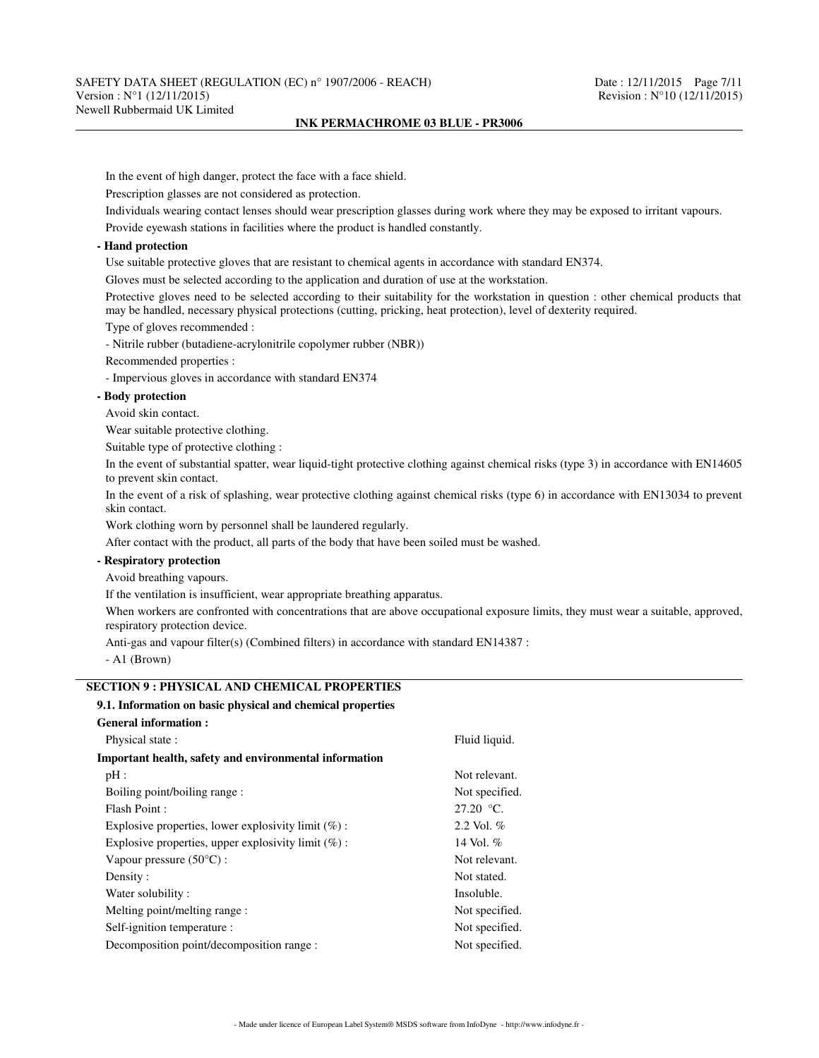In the event of high danger, protect the face with a face shield.

Prescription glasses are not considered as protection.

Individuals wearing contact lenses should wear prescription glasses during work where they may be exposed to irritant vapours.

Provide eyewash stations in facilities where the product is handled constantly.

# **- Hand protection**

Use suitable protective gloves that are resistant to chemical agents in accordance with standard EN374.

Gloves must be selected according to the application and duration of use at the workstation.

Protective gloves need to be selected according to their suitability for the workstation in question : other chemical products that may be handled, necessary physical protections (cutting, pricking, heat protection), level of dexterity required.

Type of gloves recommended :

- Nitrile rubber (butadiene-acrylonitrile copolymer rubber (NBR))

Recommended properties :

- Impervious gloves in accordance with standard EN374

## **- Body protection**

Avoid skin contact.

Wear suitable protective clothing.

Suitable type of protective clothing :

In the event of substantial spatter, wear liquid-tight protective clothing against chemical risks (type 3) in accordance with EN14605 to prevent skin contact.

In the event of a risk of splashing, wear protective clothing against chemical risks (type 6) in accordance with EN13034 to prevent skin contact.

Work clothing worn by personnel shall be laundered regularly.

After contact with the product, all parts of the body that have been soiled must be washed.

## **- Respiratory protection**

Avoid breathing vapours.

If the ventilation is insufficient, wear appropriate breathing apparatus.

When workers are confronted with concentrations that are above occupational exposure limits, they must wear a suitable, approved, respiratory protection device.

Anti-gas and vapour filter(s) (Combined filters) in accordance with standard EN14387 :

- A1 (Brown)

# **SECTION 9 : PHYSICAL AND CHEMICAL PROPERTIES**

# **9.1. Information on basic physical and chemical properties**

| <b>General information:</b>                            |                |  |  |
|--------------------------------------------------------|----------------|--|--|
| Physical state:                                        | Fluid liquid.  |  |  |
| Important health, safety and environmental information |                |  |  |
| pH:                                                    | Not relevant.  |  |  |
| Boiling point/boiling range:                           | Not specified. |  |  |
| Flash Point:                                           | $27.20 °C$ .   |  |  |
| Explosive properties, lower explosivity limit $(\%)$ : | 2.2 Vol. $%$   |  |  |
| Explosive properties, upper explosivity limit $(\%)$ : | 14 Vol. $%$    |  |  |
| Vapour pressure $(50^{\circ}C)$ :                      | Not relevant.  |  |  |
| Density:                                               | Not stated.    |  |  |
| Water solubility:                                      | Insoluble.     |  |  |
| Melting point/melting range :                          | Not specified. |  |  |
| Self-ignition temperature :                            | Not specified. |  |  |
| Decomposition point/decomposition range :              | Not specified. |  |  |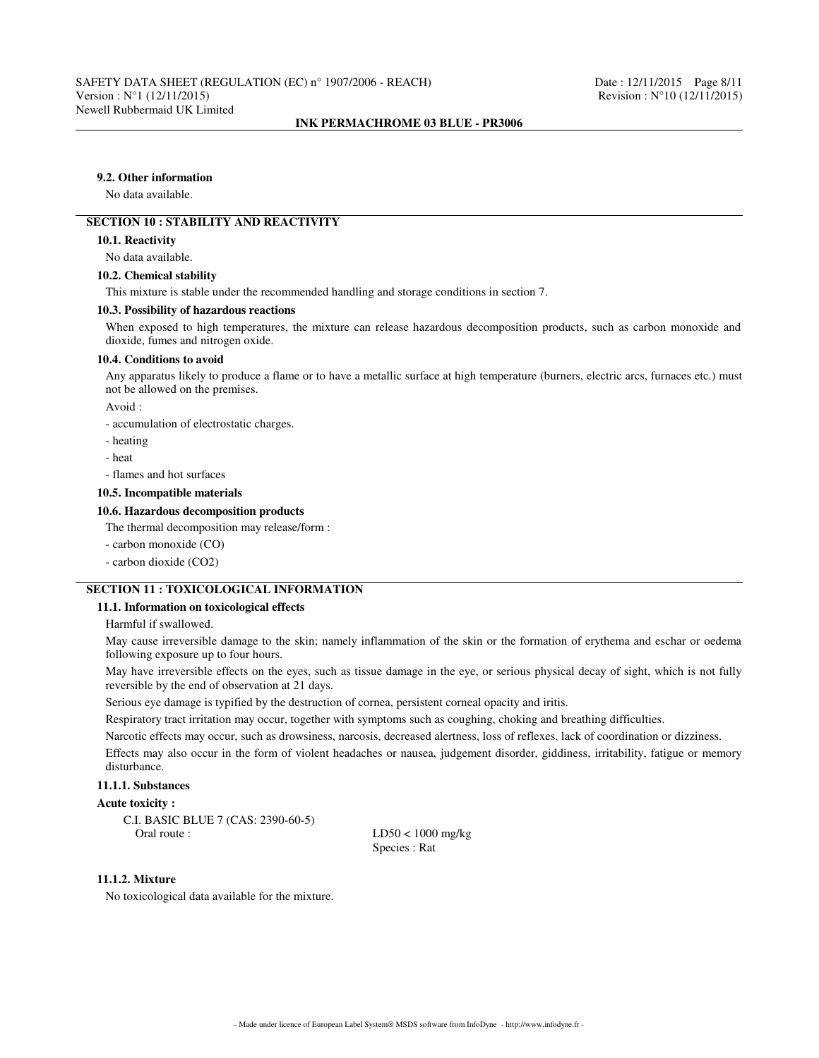# **9.2. Other information**

No data available.

# **SECTION 10 : STABILITY AND REACTIVITY**

#### **10.1. Reactivity**

No data available.

## **10.2. Chemical stability**

This mixture is stable under the recommended handling and storage conditions in section 7.

#### **10.3. Possibility of hazardous reactions**

When exposed to high temperatures, the mixture can release hazardous decomposition products, such as carbon monoxide and dioxide, fumes and nitrogen oxide.

#### **10.4. Conditions to avoid**

Any apparatus likely to produce a flame or to have a metallic surface at high temperature (burners, electric arcs, furnaces etc.) must not be allowed on the premises.

Avoid :

- accumulation of electrostatic charges.

- heating
- heat
- flames and hot surfaces

#### **10.5. Incompatible materials**

#### **10.6. Hazardous decomposition products**

The thermal decomposition may release/form :

- carbon monoxide (CO)
- carbon dioxide (CO2)

# **SECTION 11 : TOXICOLOGICAL INFORMATION**

#### **11.1. Information on toxicological effects**

Harmful if swallowed.

May cause irreversible damage to the skin; namely inflammation of the skin or the formation of erythema and eschar or oedema following exposure up to four hours.

May have irreversible effects on the eyes, such as tissue damage in the eye, or serious physical decay of sight, which is not fully reversible by the end of observation at 21 days.

Serious eye damage is typified by the destruction of cornea, persistent corneal opacity and iritis.

Respiratory tract irritation may occur, together with symptoms such as coughing, choking and breathing difficulties.

Narcotic effects may occur, such as drowsiness, narcosis, decreased alertness, loss of reflexes, lack of coordination or dizziness.

Effects may also occur in the form of violent headaches or nausea, judgement disorder, giddiness, irritability, fatigue or memory disturbance.

# **11.1.1. Substances**

# **Acute toxicity :**

C.I. BASIC BLUE 7 (CAS: 2390-60-5)

 $LD50 < 1000$  mg/kg Species : Rat

# **11.1.2. Mixture**

No toxicological data available for the mixture.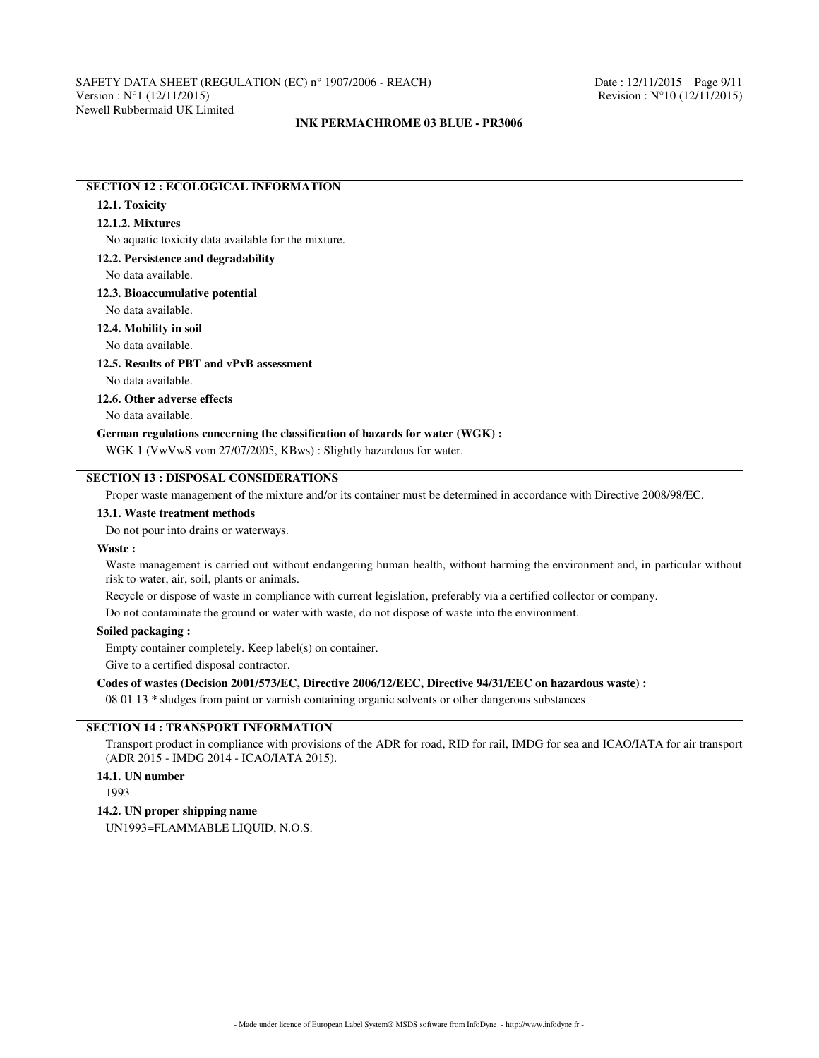# **SECTION 12 : ECOLOGICAL INFORMATION**

# **12.1. Toxicity**

# **12.1.2. Mixtures**

No aquatic toxicity data available for the mixture.

#### **12.2. Persistence and degradability**

No data available.

# **12.3. Bioaccumulative potential**

No data available.

# **12.4. Mobility in soil**

No data available.

## **12.5. Results of PBT and vPvB assessment**

No data available.

# **12.6. Other adverse effects**

No data available.

## **German regulations concerning the classification of hazards for water (WGK) :**

WGK 1 (VwVwS vom 27/07/2005, KBws) : Slightly hazardous for water.

# **SECTION 13 : DISPOSAL CONSIDERATIONS**

Proper waste management of the mixture and/or its container must be determined in accordance with Directive 2008/98/EC.

## **13.1. Waste treatment methods**

Do not pour into drains or waterways.

### **Waste :**

Waste management is carried out without endangering human health, without harming the environment and, in particular without risk to water, air, soil, plants or animals.

Recycle or dispose of waste in compliance with current legislation, preferably via a certified collector or company.

Do not contaminate the ground or water with waste, do not dispose of waste into the environment.

# **Soiled packaging :**

Empty container completely. Keep label(s) on container.

Give to a certified disposal contractor.

# **Codes of wastes (Decision 2001/573/EC, Directive 2006/12/EEC, Directive 94/31/EEC on hazardous waste) :**

08 01 13 \* sludges from paint or varnish containing organic solvents or other dangerous substances

# **SECTION 14 : TRANSPORT INFORMATION**

Transport product in compliance with provisions of the ADR for road, RID for rail, IMDG for sea and ICAO/IATA for air transport (ADR 2015 - IMDG 2014 - ICAO/IATA 2015).

# **14.1. UN number**

1993

#### **14.2. UN proper shipping name**

UN1993=FLAMMABLE LIQUID, N.O.S.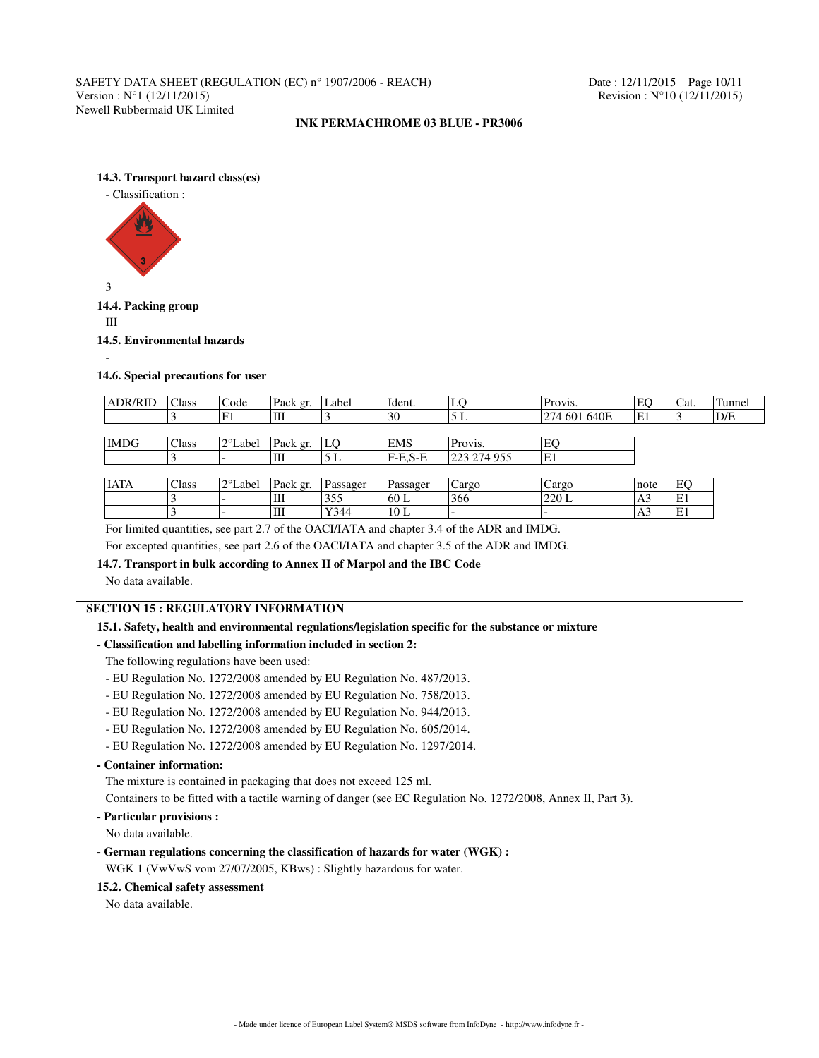# **14.3. Transport hazard class(es)**



**14.4. Packing group**

III

**14.5. Environmental hazards**

-

### **14.6. Special precautions for user**

| <b>ADR/RID</b> | Class | Code     | Pack gr. | Label    | Ident.     | LQ          | Provis.      | EO             | Cat. | Tunnel |
|----------------|-------|----------|----------|----------|------------|-------------|--------------|----------------|------|--------|
|                |       | 'F1      | Ш        |          | 30         | 5 L         | 274 601 640E | E1             |      | D/E    |
|                |       |          |          |          |            |             |              |                |      |        |
| <b>IMDG</b>    | Class | 12°Label | Pack gr. | LO       | <b>EMS</b> | Provis.     | EO           |                |      |        |
|                |       |          | Ш        | 5 L      | $F-E.S-E$  | 223 274 955 | E1           |                |      |        |
|                |       |          |          |          |            |             |              |                |      |        |
| <b>IATA</b>    | Class | 12°Label | Pack gr. | Passager | Passager   | Cargo       | Cargo        | note           | EQ   |        |
|                |       |          | Ш        | 355      | 160 L      | 366         | 220 L        | A <sub>3</sub> | E1   |        |
|                |       |          | Ш        | Y344     | 10L        |             |              | A <sub>3</sub> | E1   |        |

For limited quantities, see part 2.7 of the OACI/IATA and chapter 3.4 of the ADR and IMDG.

For excepted quantities, see part 2.6 of the OACI/IATA and chapter 3.5 of the ADR and IMDG.

# **14.7. Transport in bulk according to Annex II of Marpol and the IBC Code**

No data available.

# **SECTION 15 : REGULATORY INFORMATION**

# **15.1. Safety, health and environmental regulations/legislation specific for the substance or mixture**

# **- Classification and labelling information included in section 2:**

The following regulations have been used:

- EU Regulation No. 1272/2008 amended by EU Regulation No. 487/2013.
- EU Regulation No. 1272/2008 amended by EU Regulation No. 758/2013.
- EU Regulation No. 1272/2008 amended by EU Regulation No. 944/2013.
- EU Regulation No. 1272/2008 amended by EU Regulation No. 605/2014.
- EU Regulation No. 1272/2008 amended by EU Regulation No. 1297/2014.

# **- Container information:**

The mixture is contained in packaging that does not exceed 125 ml.

Containers to be fitted with a tactile warning of danger (see EC Regulation No. 1272/2008, Annex II, Part 3).

# **- Particular provisions :**

No data available.

**- German regulations concerning the classification of hazards for water (WGK) :**

WGK 1 (VwVwS vom 27/07/2005, KBws) : Slightly hazardous for water.

# **15.2. Chemical safety assessment**

No data available.